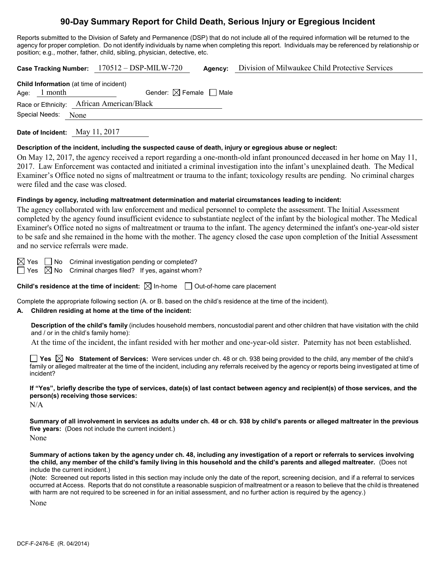# **90-Day Summary Report for Child Death, Serious Injury or Egregious Incident**

Reports submitted to the Division of Safety and Permanence (DSP) that do not include all of the required information will be returned to the agency for proper completion. Do not identify individuals by name when completing this report. Individuals may be referenced by relationship or position; e.g., mother, father, child, sibling, physician, detective, etc.

**Case Tracking Number:** 170512 – DSP-MILW-720 **Agency:** Division of Milwaukee Child Protective Services

| <b>Child Information</b> (at time of incident) |                |                                        |  |  |  |
|------------------------------------------------|----------------|----------------------------------------|--|--|--|
|                                                | Age: $1$ month | Gender: $\boxtimes$ Female $\Box$ Male |  |  |  |
| Race or Ethnicity: African American/Black      |                |                                        |  |  |  |
| Special Needs: None                            |                |                                        |  |  |  |
|                                                |                |                                        |  |  |  |

**Date of Incident:** May 11, 2017

#### **Description of the incident, including the suspected cause of death, injury or egregious abuse or neglect:**

On May 12, 2017, the agency received a report regarding a one-month-old infant pronounced deceased in her home on May 11, 2017. Law Enforcement was contacted and initiated a criminal investigation into the infant's unexplained death. The Medical Examiner's Office noted no signs of maltreatment or trauma to the infant; toxicology results are pending. No criminal charges were filed and the case was closed.

#### **Findings by agency, including maltreatment determination and material circumstances leading to incident:**

The agency collaborated with law enforcement and medical personnel to complete the assessment. The Initial Assessment completed by the agency found insufficient evidence to substantiate neglect of the infant by the biological mother. The Medical Examiner's Office noted no signs of maltreatment or trauma to the infant. The agency determined the infant's one-year-old sister to be safe and she remained in the home with the mother. The agency closed the case upon completion of the Initial Assessment and no service referrals were made.

 $\boxtimes$  Yes  $\Box$  No Criminal investigation pending or completed?

 $\Box$  Yes  $\boxtimes$  No Criminal charges filed? If yes, against whom?

**Child's residence at the time of incident:**  $\boxtimes$  In-home  $\Box$  Out-of-home care placement

Complete the appropriate following section (A. or B. based on the child's residence at the time of the incident).

## **A. Children residing at home at the time of the incident:**

**Description of the child's family** (includes household members, noncustodial parent and other children that have visitation with the child and / or in the child's family home):

At the time of the incident, the infant resided with her mother and one-year-old sister. Paternity has not been established.

**Yes No Statement of Services:** Were services under ch. 48 or ch. 938 being provided to the child, any member of the child's family or alleged maltreater at the time of the incident, including any referrals received by the agency or reports being investigated at time of incident?

**If "Yes", briefly describe the type of services, date(s) of last contact between agency and recipient(s) of those services, and the person(s) receiving those services:**

N/A

**Summary of all involvement in services as adults under ch. 48 or ch. 938 by child's parents or alleged maltreater in the previous five years:** (Does not include the current incident.) None

**Summary of actions taken by the agency under ch. 48, including any investigation of a report or referrals to services involving the child, any member of the child's family living in this household and the child's parents and alleged maltreater.** (Does not include the current incident.)

(Note: Screened out reports listed in this section may include only the date of the report, screening decision, and if a referral to services occurred at Access. Reports that do not constitute a reasonable suspicion of maltreatment or a reason to believe that the child is threatened with harm are not required to be screened in for an initial assessment, and no further action is required by the agency.)

None